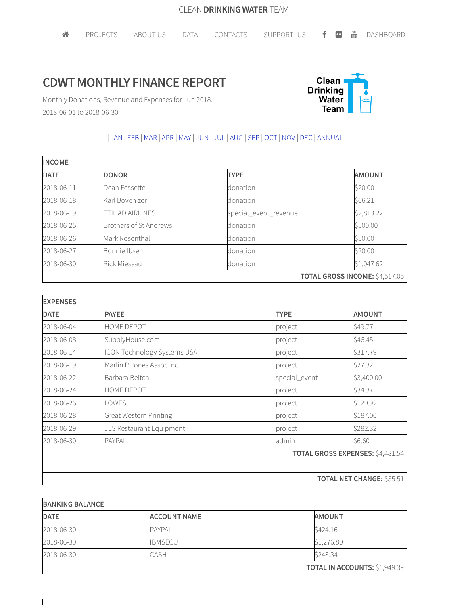## **CDWT MONTHLY FINANCE REPORT**



Monthly Donations, Revenue and Expenses for Jun 2018. 2018-06-01 to 2018-06-30

## | JAN | FEB |MAR |APR |MAY | JUN | JUL | AUG |SEP | OCT | NOV | DEC | ANNUAL

| <b>INCOME</b> |                        |                       |                                       |  |  |
|---------------|------------------------|-----------------------|---------------------------------------|--|--|
| <b>DATE</b>   | <b>DONOR</b>           | <b>TYPE</b>           | <b>AMOUNT</b>                         |  |  |
| 2018-06-11    | Dean Fessette          | donation              | \$20.00                               |  |  |
| 2018-06-18    | Karl Bovenizer         | donation              | \$66.21                               |  |  |
| 2018-06-19    | ETIHAD AIRLINES        | special_event_revenue | \$2,813.22                            |  |  |
| 2018-06-25    | Brothers of St Andrews | donation              | \$500.00                              |  |  |
| 2018-06-26    | Mark Rosenthal         | donation              | \$50.00                               |  |  |
| 2018-06-27    | Bonnie Ibsen           | donation              | \$20.00                               |  |  |
| 2018-06-30    | <b>Rick Miessau</b>    | donation              | \$1,047.62                            |  |  |
|               |                        |                       | <b>TOTAL GROSS INCOME: \$4,517.05</b> |  |  |

| <b>EXPENSES</b> |                               |                                         |                                  |  |
|-----------------|-------------------------------|-----------------------------------------|----------------------------------|--|
| <b>DATE</b>     | <b>PAYEE</b>                  | <b>TYPE</b>                             | <b>AMOUNT</b>                    |  |
| 2018-06-04      | HOME DEPOT                    | project                                 | \$49.77                          |  |
| 2018-06-08      | SupplyHouse.com               | project                                 | \$46.45                          |  |
| 2018-06-14      | ICON Technology Systems USA   | project                                 | \$317.79                         |  |
| 2018-06-19      | Marlin P Jones Assoc Inc      | project                                 | \$27.32                          |  |
| 2018-06-22      | Barbara Beitch                | special_event                           | \$3,400.00                       |  |
| 2018-06-24      | HOME DEPOT                    | project                                 | \$34.37                          |  |
| 2018-06-26      | OWES.                         | project                                 | \$129.92                         |  |
| 2018-06-28      | <b>Great Western Printing</b> | project                                 | \$187.00                         |  |
| 2018-06-29      | JES Restaurant Equipment      | project                                 | \$282.32                         |  |
| 2018-06-30      | <b>PAYPAL</b>                 | admin                                   | \$6.60                           |  |
|                 |                               | <b>TOTAL GROSS EXPENSES: \$4,481.54</b> |                                  |  |
|                 |                               |                                         |                                  |  |
|                 |                               |                                         | <b>TOTAL NET CHANGE: \$35.51</b> |  |

| <b>BANKING BALANCE</b> |                     |                                      |  |  |
|------------------------|---------------------|--------------------------------------|--|--|
| <b>DATE</b>            | <b>ACCOUNT NAME</b> | <b>AMOUNT</b>                        |  |  |
| 2018-06-30             | <b>PAYPAL</b>       | S424.16                              |  |  |
| 2018-06-30             | <b>IBMSECU</b>      | \$1,276.89                           |  |  |
| 2018-06-30             | <b>CASH</b>         | \$248.34                             |  |  |
|                        |                     | <b>TOTAL IN ACCOUNTS: \$1,949.39</b> |  |  |